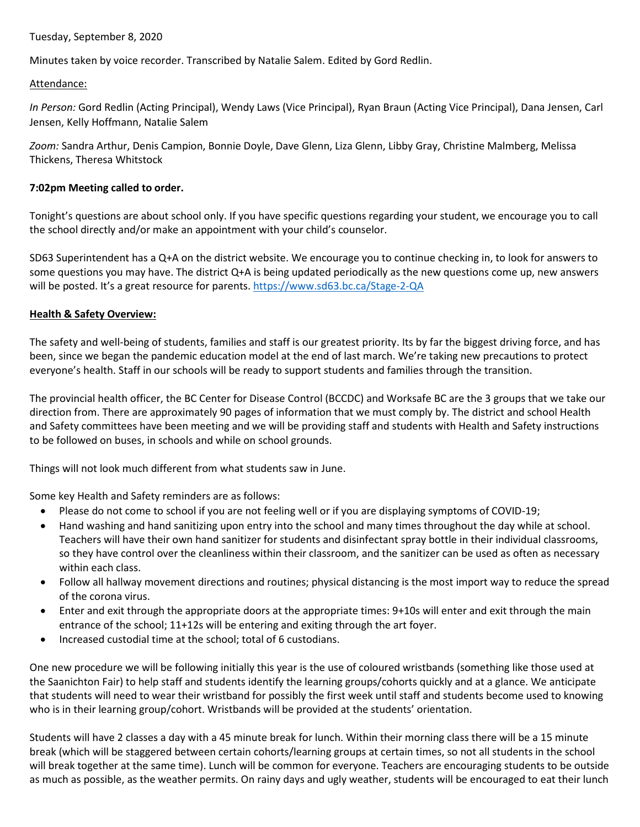#### Tuesday, September 8, 2020

Minutes taken by voice recorder. Transcribed by Natalie Salem. Edited by Gord Redlin.

#### Attendance:

*In Person:* Gord Redlin (Acting Principal), Wendy Laws (Vice Principal), Ryan Braun (Acting Vice Principal), Dana Jensen, Carl Jensen, Kelly Hoffmann, Natalie Salem

*Zoom:* Sandra Arthur, Denis Campion, Bonnie Doyle, Dave Glenn, Liza Glenn, Libby Gray, Christine Malmberg, Melissa Thickens, Theresa Whitstock

### **7:02pm Meeting called to order.**

Tonight's questions are about school only. If you have specific questions regarding your student, we encourage you to call the school directly and/or make an appointment with your child's counselor.

SD63 Superintendent has a Q+A on the district website. We encourage you to continue checking in, to look for answers to some questions you may have. The district Q+A is being updated periodically as the new questions come up, new answers will be posted. It's a great resource for parents. <https://www.sd63.bc.ca/Stage-2-QA>

### **Health & Safety Overview:**

The safety and well-being of students, families and staff is our greatest priority. Its by far the biggest driving force, and has been, since we began the pandemic education model at the end of last march. We're taking new precautions to protect everyone's health. Staff in our schools will be ready to support students and families through the transition.

The provincial health officer, the BC Center for Disease Control (BCCDC) and Worksafe BC are the 3 groups that we take our direction from. There are approximately 90 pages of information that we must comply by. The district and school Health and Safety committees have been meeting and we will be providing staff and students with Health and Safety instructions to be followed on buses, in schools and while on school grounds.

Things will not look much different from what students saw in June.

Some key Health and Safety reminders are as follows:

- Please do not come to school if you are not feeling well or if you are displaying symptoms of COVID-19;
- Hand washing and hand sanitizing upon entry into the school and many times throughout the day while at school. Teachers will have their own hand sanitizer for students and disinfectant spray bottle in their individual classrooms, so they have control over the cleanliness within their classroom, and the sanitizer can be used as often as necessary within each class.
- Follow all hallway movement directions and routines; physical distancing is the most import way to reduce the spread of the corona virus.
- Enter and exit through the appropriate doors at the appropriate times: 9+10s will enter and exit through the main entrance of the school; 11+12s will be entering and exiting through the art foyer.
- Increased custodial time at the school; total of 6 custodians.

One new procedure we will be following initially this year is the use of coloured wristbands (something like those used at the Saanichton Fair) to help staff and students identify the learning groups/cohorts quickly and at a glance. We anticipate that students will need to wear their wristband for possibly the first week until staff and students become used to knowing who is in their learning group/cohort. Wristbands will be provided at the students' orientation.

Students will have 2 classes a day with a 45 minute break for lunch. Within their morning class there will be a 15 minute break (which will be staggered between certain cohorts/learning groups at certain times, so not all students in the school will break together at the same time). Lunch will be common for everyone. Teachers are encouraging students to be outside as much as possible, as the weather permits. On rainy days and ugly weather, students will be encouraged to eat their lunch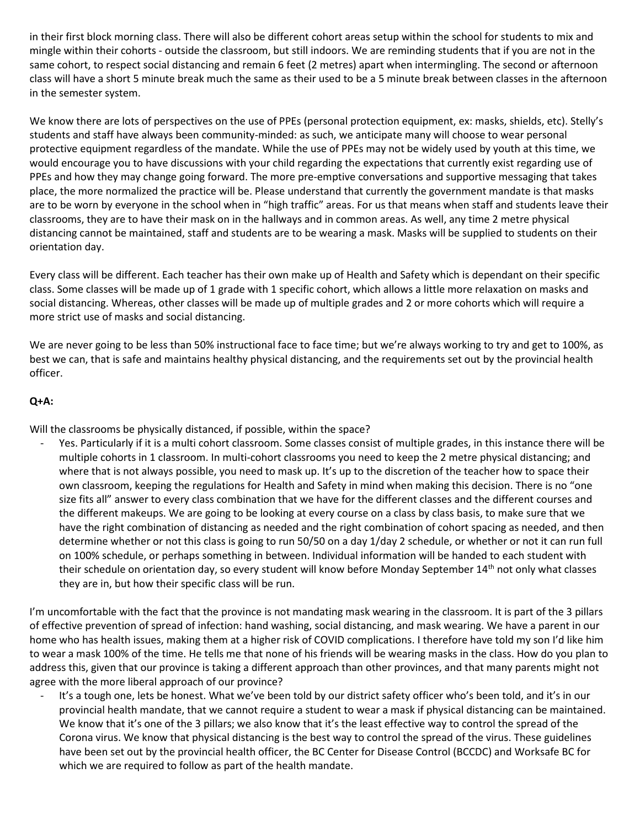in their first block morning class. There will also be different cohort areas setup within the school for students to mix and mingle within their cohorts - outside the classroom, but still indoors. We are reminding students that if you are not in the same cohort, to respect social distancing and remain 6 feet (2 metres) apart when intermingling. The second or afternoon class will have a short 5 minute break much the same as their used to be a 5 minute break between classes in the afternoon in the semester system.

We know there are lots of perspectives on the use of PPEs (personal protection equipment, ex: masks, shields, etc). Stelly's students and staff have always been community-minded: as such, we anticipate many will choose to wear personal protective equipment regardless of the mandate. While the use of PPEs may not be widely used by youth at this time, we would encourage you to have discussions with your child regarding the expectations that currently exist regarding use of PPEs and how they may change going forward. The more pre-emptive conversations and supportive messaging that takes place, the more normalized the practice will be. Please understand that currently the government mandate is that masks are to be worn by everyone in the school when in "high traffic" areas. For us that means when staff and students leave their classrooms, they are to have their mask on in the hallways and in common areas. As well, any time 2 metre physical distancing cannot be maintained, staff and students are to be wearing a mask. Masks will be supplied to students on their orientation day.

Every class will be different. Each teacher has their own make up of Health and Safety which is dependant on their specific class. Some classes will be made up of 1 grade with 1 specific cohort, which allows a little more relaxation on masks and social distancing. Whereas, other classes will be made up of multiple grades and 2 or more cohorts which will require a more strict use of masks and social distancing.

We are never going to be less than 50% instructional face to face time; but we're always working to try and get to 100%, as best we can, that is safe and maintains healthy physical distancing, and the requirements set out by the provincial health officer.

# **Q+A:**

Will the classrooms be physically distanced, if possible, within the space?

Yes. Particularly if it is a multi cohort classroom. Some classes consist of multiple grades, in this instance there will be multiple cohorts in 1 classroom. In multi-cohort classrooms you need to keep the 2 metre physical distancing; and where that is not always possible, you need to mask up. It's up to the discretion of the teacher how to space their own classroom, keeping the regulations for Health and Safety in mind when making this decision. There is no "one size fits all" answer to every class combination that we have for the different classes and the different courses and the different makeups. We are going to be looking at every course on a class by class basis, to make sure that we have the right combination of distancing as needed and the right combination of cohort spacing as needed, and then determine whether or not this class is going to run 50/50 on a day 1/day 2 schedule, or whether or not it can run full on 100% schedule, or perhaps something in between. Individual information will be handed to each student with their schedule on orientation day, so every student will know before Monday September 14<sup>th</sup> not only what classes they are in, but how their specific class will be run.

I'm uncomfortable with the fact that the province is not mandating mask wearing in the classroom. It is part of the 3 pillars of effective prevention of spread of infection: hand washing, social distancing, and mask wearing. We have a parent in our home who has health issues, making them at a higher risk of COVID complications. I therefore have told my son I'd like him to wear a mask 100% of the time. He tells me that none of his friends will be wearing masks in the class. How do you plan to address this, given that our province is taking a different approach than other provinces, and that many parents might not agree with the more liberal approach of our province?

It's a tough one, lets be honest. What we've been told by our district safety officer who's been told, and it's in our provincial health mandate, that we cannot require a student to wear a mask if physical distancing can be maintained. We know that it's one of the 3 pillars; we also know that it's the least effective way to control the spread of the Corona virus. We know that physical distancing is the best way to control the spread of the virus. These guidelines have been set out by the provincial health officer, the BC Center for Disease Control (BCCDC) and Worksafe BC for which we are required to follow as part of the health mandate.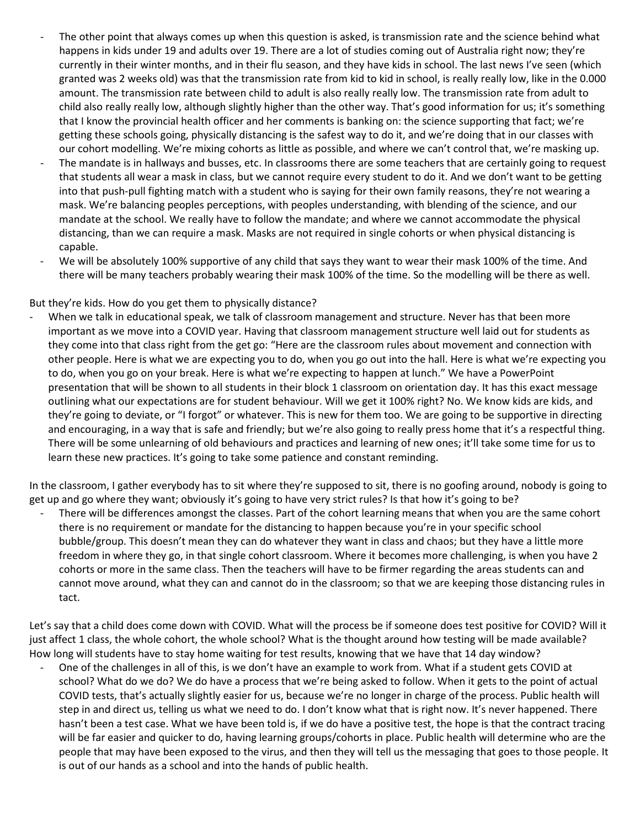- The other point that always comes up when this question is asked, is transmission rate and the science behind what happens in kids under 19 and adults over 19. There are a lot of studies coming out of Australia right now; they're currently in their winter months, and in their flu season, and they have kids in school. The last news I've seen (which granted was 2 weeks old) was that the transmission rate from kid to kid in school, is really really low, like in the 0.000 amount. The transmission rate between child to adult is also really really low. The transmission rate from adult to child also really really low, although slightly higher than the other way. That's good information for us; it's something that I know the provincial health officer and her comments is banking on: the science supporting that fact; we're getting these schools going, physically distancing is the safest way to do it, and we're doing that in our classes with our cohort modelling. We're mixing cohorts as little as possible, and where we can't control that, we're masking up.
- The mandate is in hallways and busses, etc. In classrooms there are some teachers that are certainly going to request that students all wear a mask in class, but we cannot require every student to do it. And we don't want to be getting into that push-pull fighting match with a student who is saying for their own family reasons, they're not wearing a mask. We're balancing peoples perceptions, with peoples understanding, with blending of the science, and our mandate at the school. We really have to follow the mandate; and where we cannot accommodate the physical distancing, than we can require a mask. Masks are not required in single cohorts or when physical distancing is capable.
- We will be absolutely 100% supportive of any child that says they want to wear their mask 100% of the time. And there will be many teachers probably wearing their mask 100% of the time. So the modelling will be there as well.

#### But they're kids. How do you get them to physically distance?

When we talk in educational speak, we talk of classroom management and structure. Never has that been more important as we move into a COVID year. Having that classroom management structure well laid out for students as they come into that class right from the get go: "Here are the classroom rules about movement and connection with other people. Here is what we are expecting you to do, when you go out into the hall. Here is what we're expecting you to do, when you go on your break. Here is what we're expecting to happen at lunch." We have a PowerPoint presentation that will be shown to all students in their block 1 classroom on orientation day. It has this exact message outlining what our expectations are for student behaviour. Will we get it 100% right? No. We know kids are kids, and they're going to deviate, or "I forgot" or whatever. This is new for them too. We are going to be supportive in directing and encouraging, in a way that is safe and friendly; but we're also going to really press home that it's a respectful thing. There will be some unlearning of old behaviours and practices and learning of new ones; it'll take some time for us to learn these new practices. It's going to take some patience and constant reminding.

In the classroom, I gather everybody has to sit where they're supposed to sit, there is no goofing around, nobody is going to get up and go where they want; obviously it's going to have very strict rules? Is that how it's going to be?

There will be differences amongst the classes. Part of the cohort learning means that when you are the same cohort there is no requirement or mandate for the distancing to happen because you're in your specific school bubble/group. This doesn't mean they can do whatever they want in class and chaos; but they have a little more freedom in where they go, in that single cohort classroom. Where it becomes more challenging, is when you have 2 cohorts or more in the same class. Then the teachers will have to be firmer regarding the areas students can and cannot move around, what they can and cannot do in the classroom; so that we are keeping those distancing rules in tact.

Let's say that a child does come down with COVID. What will the process be if someone does test positive for COVID? Will it just affect 1 class, the whole cohort, the whole school? What is the thought around how testing will be made available? How long will students have to stay home waiting for test results, knowing that we have that 14 day window?

- One of the challenges in all of this, is we don't have an example to work from. What if a student gets COVID at school? What do we do? We do have a process that we're being asked to follow. When it gets to the point of actual COVID tests, that's actually slightly easier for us, because we're no longer in charge of the process. Public health will step in and direct us, telling us what we need to do. I don't know what that is right now. It's never happened. There hasn't been a test case. What we have been told is, if we do have a positive test, the hope is that the contract tracing will be far easier and quicker to do, having learning groups/cohorts in place. Public health will determine who are the people that may have been exposed to the virus, and then they will tell us the messaging that goes to those people. It is out of our hands as a school and into the hands of public health.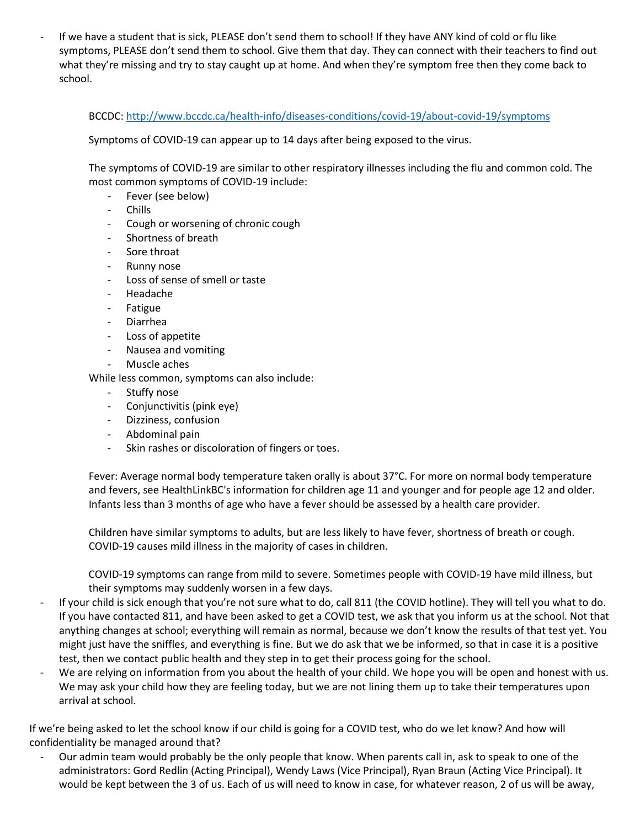If we have a student that is sick, PLEASE don't send them to school! If they have ANY kind of cold or flu like symptoms, PLEASE don't send them to school. Give them that day. They can connect with their teachers to find out what they're missing and try to stay caught up at home. And when they're symptom free then they come back to school.

BCCDC: <http://www.bccdc.ca/health-info/diseases-conditions/covid-19/about-covid-19/symptoms>

Symptoms of COVID-19 can appear up to 14 days after being exposed to the virus.

The symptoms of COVID-19 are similar to other respiratory illnesses including the flu and common cold. The most common symptoms of COVID-19 include:

- Fever (see below)
- Chills
- Cough or worsening of chronic cough
- Shortness of breath
- Sore throat
- Runny nose
- Loss of sense of smell or taste
- Headache
- **Fatigue**
- **Diarrhea**
- Loss of appetite
- Nausea and vomiting
- Muscle aches

While less common, symptoms can also include:

- Stuffy nose
- Conjunctivitis (pink eye)
- Dizziness, confusion
- Abdominal pain
- Skin rashes or discoloration of fingers or toes.

Fever: Average normal body temperature taken orally is about 37°C. For more on normal body temperature and fevers, see HealthLinkBC's information for children age 11 and younger and for people age 12 and older. Infants less than 3 months of age who have a fever should be assessed by a health care provider.

Children have similar symptoms to adults, but are less likely to have fever, shortness of breath or cough. COVID-19 causes mild illness in the majority of cases in children.

COVID-19 symptoms can range from mild to severe. Sometimes people with COVID-19 have mild illness, but their symptoms may suddenly worsen in a few days.

- If your child is sick enough that you're not sure what to do, call 811 (the COVID hotline). They will tell you what to do. If you have contacted 811, and have been asked to get a COVID test, we ask that you inform us at the school. Not that anything changes at school; everything will remain as normal, because we don't know the results of that test yet. You might just have the sniffles, and everything is fine. But we do ask that we be informed, so that in case it is a positive test, then we contact public health and they step in to get their process going for the school.
- We are relying on information from you about the health of your child. We hope you will be open and honest with us. We may ask your child how they are feeling today, but we are not lining them up to take their temperatures upon arrival at school.

If we're being asked to let the school know if our child is going for a COVID test, who do we let know? And how will confidentiality be managed around that?

- Our admin team would probably be the only people that know. When parents call in, ask to speak to one of the administrators: Gord Redlin (Acting Principal), Wendy Laws (Vice Principal), Ryan Braun (Acting Vice Principal). It would be kept between the 3 of us. Each of us will need to know in case, for whatever reason, 2 of us will be away,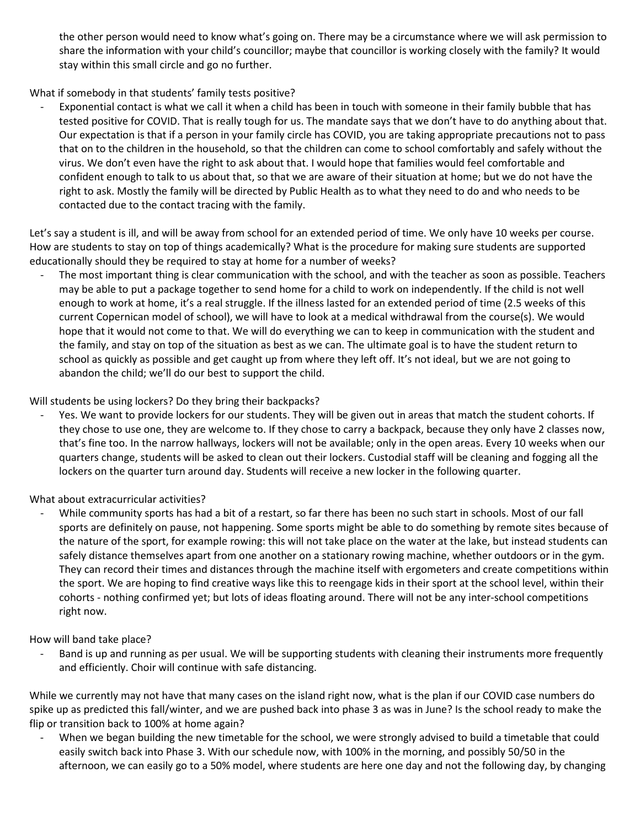the other person would need to know what's going on. There may be a circumstance where we will ask permission to share the information with your child's councillor; maybe that councillor is working closely with the family? It would stay within this small circle and go no further.

What if somebody in that students' family tests positive?

Exponential contact is what we call it when a child has been in touch with someone in their family bubble that has tested positive for COVID. That is really tough for us. The mandate says that we don't have to do anything about that. Our expectation is that if a person in your family circle has COVID, you are taking appropriate precautions not to pass that on to the children in the household, so that the children can come to school comfortably and safely without the virus. We don't even have the right to ask about that. I would hope that families would feel comfortable and confident enough to talk to us about that, so that we are aware of their situation at home; but we do not have the right to ask. Mostly the family will be directed by Public Health as to what they need to do and who needs to be contacted due to the contact tracing with the family.

Let's say a student is ill, and will be away from school for an extended period of time. We only have 10 weeks per course. How are students to stay on top of things academically? What is the procedure for making sure students are supported educationally should they be required to stay at home for a number of weeks?

The most important thing is clear communication with the school, and with the teacher as soon as possible. Teachers may be able to put a package together to send home for a child to work on independently. If the child is not well enough to work at home, it's a real struggle. If the illness lasted for an extended period of time (2.5 weeks of this current Copernican model of school), we will have to look at a medical withdrawal from the course(s). We would hope that it would not come to that. We will do everything we can to keep in communication with the student and the family, and stay on top of the situation as best as we can. The ultimate goal is to have the student return to school as quickly as possible and get caught up from where they left off. It's not ideal, but we are not going to abandon the child; we'll do our best to support the child.

Will students be using lockers? Do they bring their backpacks?

Yes. We want to provide lockers for our students. They will be given out in areas that match the student cohorts. If they chose to use one, they are welcome to. If they chose to carry a backpack, because they only have 2 classes now, that's fine too. In the narrow hallways, lockers will not be available; only in the open areas. Every 10 weeks when our quarters change, students will be asked to clean out their lockers. Custodial staff will be cleaning and fogging all the lockers on the quarter turn around day. Students will receive a new locker in the following quarter.

What about extracurricular activities?

While community sports has had a bit of a restart, so far there has been no such start in schools. Most of our fall sports are definitely on pause, not happening. Some sports might be able to do something by remote sites because of the nature of the sport, for example rowing: this will not take place on the water at the lake, but instead students can safely distance themselves apart from one another on a stationary rowing machine, whether outdoors or in the gym. They can record their times and distances through the machine itself with ergometers and create competitions within the sport. We are hoping to find creative ways like this to reengage kids in their sport at the school level, within their cohorts - nothing confirmed yet; but lots of ideas floating around. There will not be any inter-school competitions right now.

How will band take place?

Band is up and running as per usual. We will be supporting students with cleaning their instruments more frequently and efficiently. Choir will continue with safe distancing.

While we currently may not have that many cases on the island right now, what is the plan if our COVID case numbers do spike up as predicted this fall/winter, and we are pushed back into phase 3 as was in June? Is the school ready to make the flip or transition back to 100% at home again?

When we began building the new timetable for the school, we were strongly advised to build a timetable that could easily switch back into Phase 3. With our schedule now, with 100% in the morning, and possibly 50/50 in the afternoon, we can easily go to a 50% model, where students are here one day and not the following day, by changing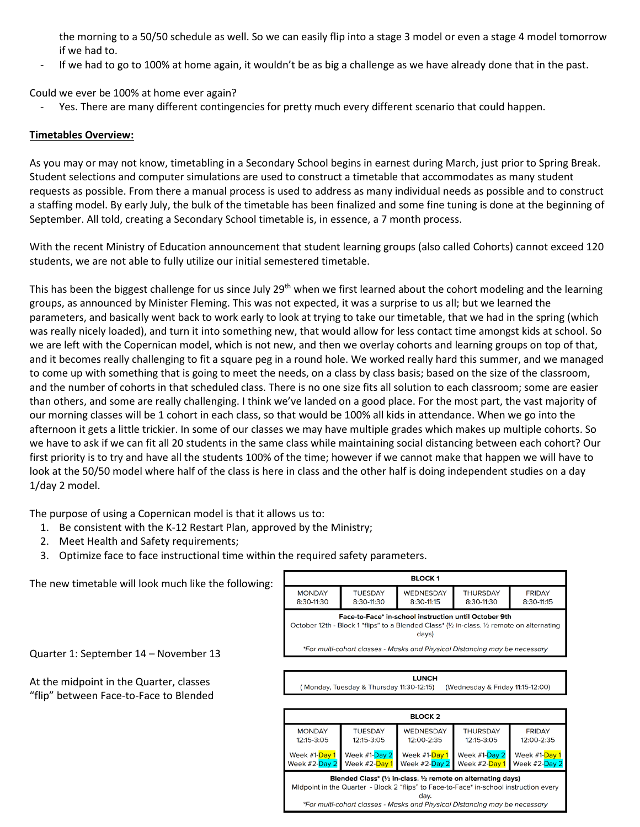the morning to a 50/50 schedule as well. So we can easily flip into a stage 3 model or even a stage 4 model tomorrow if we had to.

If we had to go to 100% at home again, it wouldn't be as big a challenge as we have already done that in the past.

Could we ever be 100% at home ever again?

- Yes. There are many different contingencies for pretty much every different scenario that could happen.

### **Timetables Overview:**

As you may or may not know, timetabling in a Secondary School begins in earnest during March, just prior to Spring Break. Student selections and computer simulations are used to construct a timetable that accommodates as many student requests as possible. From there a manual process is used to address as many individual needs as possible and to construct a staffing model. By early July, the bulk of the timetable has been finalized and some fine tuning is done at the beginning of September. All told, creating a Secondary School timetable is, in essence, a 7 month process.

With the recent Ministry of Education announcement that student learning groups (also called Cohorts) cannot exceed 120 students, we are not able to fully utilize our initial semestered timetable.

This has been the biggest challenge for us since July  $29<sup>th</sup>$  when we first learned about the cohort modeling and the learning groups, as announced by Minister Fleming. This was not expected, it was a surprise to us all; but we learned the parameters, and basically went back to work early to look at trying to take our timetable, that we had in the spring (which was really nicely loaded), and turn it into something new, that would allow for less contact time amongst kids at school. So we are left with the Copernican model, which is not new, and then we overlay cohorts and learning groups on top of that, and it becomes really challenging to fit a square peg in a round hole. We worked really hard this summer, and we managed to come up with something that is going to meet the needs, on a class by class basis; based on the size of the classroom, and the number of cohorts in that scheduled class. There is no one size fits all solution to each classroom; some are easier than others, and some are really challenging. I think we've landed on a good place. For the most part, the vast majority of our morning classes will be 1 cohort in each class, so that would be 100% all kids in attendance. When we go into the afternoon it gets a little trickier. In some of our classes we may have multiple grades which makes up multiple cohorts. So we have to ask if we can fit all 20 students in the same class while maintaining social distancing between each cohort? Our first priority is to try and have all the students 100% of the time; however if we cannot make that happen we will have to look at the 50/50 model where half of the class is here in class and the other half is doing independent studies on a day 1/day 2 model.

The purpose of using a Copernican model is that it allows us to:

- 1. Be consistent with the K-12 Restart Plan, approved by the Ministry;
- 2. Meet Health and Safety requirements;
- 3. Optimize face to face instructional time within the required safety parameters.

The new timetable will look much like the following:

Quarter 1: September 14 – November 13

At the midpoint in the Quarter, classes "flip" between Face-to-Face to Blended



\*For multi-cohort classes - Masks and Physical Distancing may be necessary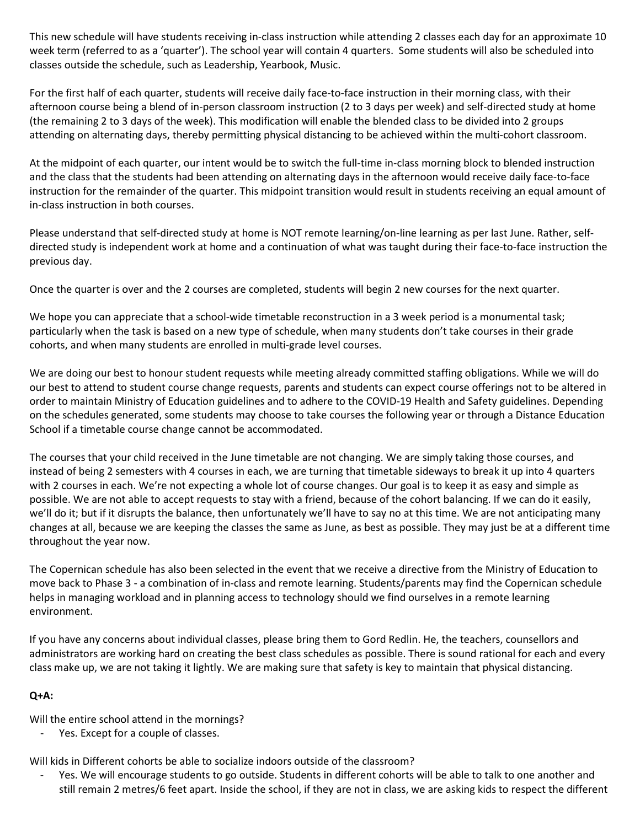This new schedule will have students receiving in-class instruction while attending 2 classes each day for an approximate 10 week term (referred to as a 'quarter'). The school year will contain 4 quarters. Some students will also be scheduled into classes outside the schedule, such as Leadership, Yearbook, Music.

For the first half of each quarter, students will receive daily face-to-face instruction in their morning class, with their afternoon course being a blend of in-person classroom instruction (2 to 3 days per week) and self-directed study at home (the remaining 2 to 3 days of the week). This modification will enable the blended class to be divided into 2 groups attending on alternating days, thereby permitting physical distancing to be achieved within the multi-cohort classroom.

At the midpoint of each quarter, our intent would be to switch the full-time in-class morning block to blended instruction and the class that the students had been attending on alternating days in the afternoon would receive daily face-to-face instruction for the remainder of the quarter. This midpoint transition would result in students receiving an equal amount of in-class instruction in both courses.

Please understand that self-directed study at home is NOT remote learning/on-line learning as per last June. Rather, selfdirected study is independent work at home and a continuation of what was taught during their face-to-face instruction the previous day.

Once the quarter is over and the 2 courses are completed, students will begin 2 new courses for the next quarter.

We hope you can appreciate that a school-wide timetable reconstruction in a 3 week period is a monumental task; particularly when the task is based on a new type of schedule, when many students don't take courses in their grade cohorts, and when many students are enrolled in multi-grade level courses.

We are doing our best to honour student requests while meeting already committed staffing obligations. While we will do our best to attend to student course change requests, parents and students can expect course offerings not to be altered in order to maintain Ministry of Education guidelines and to adhere to the COVID-19 Health and Safety guidelines. Depending on the schedules generated, some students may choose to take courses the following year or through a Distance Education School if a timetable course change cannot be accommodated.

The courses that your child received in the June timetable are not changing. We are simply taking those courses, and instead of being 2 semesters with 4 courses in each, we are turning that timetable sideways to break it up into 4 quarters with 2 courses in each. We're not expecting a whole lot of course changes. Our goal is to keep it as easy and simple as possible. We are not able to accept requests to stay with a friend, because of the cohort balancing. If we can do it easily, we'll do it; but if it disrupts the balance, then unfortunately we'll have to say no at this time. We are not anticipating many changes at all, because we are keeping the classes the same as June, as best as possible. They may just be at a different time throughout the year now.

The Copernican schedule has also been selected in the event that we receive a directive from the Ministry of Education to move back to Phase 3 - a combination of in-class and remote learning. Students/parents may find the Copernican schedule helps in managing workload and in planning access to technology should we find ourselves in a remote learning environment.

If you have any concerns about individual classes, please bring them to Gord Redlin. He, the teachers, counsellors and administrators are working hard on creating the best class schedules as possible. There is sound rational for each and every class make up, we are not taking it lightly. We are making sure that safety is key to maintain that physical distancing.

# **Q+A:**

Will the entire school attend in the mornings?

Yes. Except for a couple of classes.

Will kids in Different cohorts be able to socialize indoors outside of the classroom?

Yes. We will encourage students to go outside. Students in different cohorts will be able to talk to one another and still remain 2 metres/6 feet apart. Inside the school, if they are not in class, we are asking kids to respect the different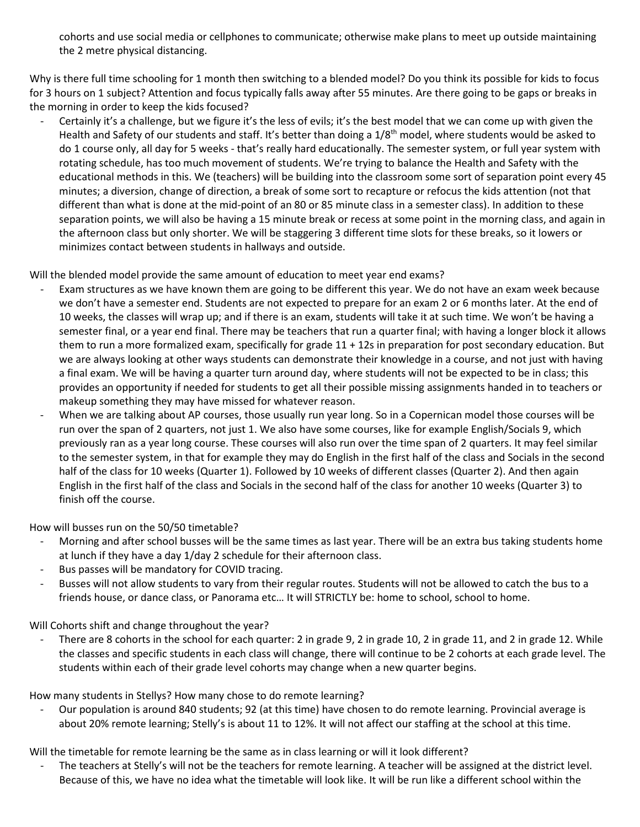cohorts and use social media or cellphones to communicate; otherwise make plans to meet up outside maintaining the 2 metre physical distancing.

Why is there full time schooling for 1 month then switching to a blended model? Do you think its possible for kids to focus for 3 hours on 1 subject? Attention and focus typically falls away after 55 minutes. Are there going to be gaps or breaks in the morning in order to keep the kids focused?

Certainly it's a challenge, but we figure it's the less of evils; it's the best model that we can come up with given the Health and Safety of our students and staff. It's better than doing a 1/8<sup>th</sup> model, where students would be asked to do 1 course only, all day for 5 weeks - that's really hard educationally. The semester system, or full year system with rotating schedule, has too much movement of students. We're trying to balance the Health and Safety with the educational methods in this. We (teachers) will be building into the classroom some sort of separation point every 45 minutes; a diversion, change of direction, a break of some sort to recapture or refocus the kids attention (not that different than what is done at the mid-point of an 80 or 85 minute class in a semester class). In addition to these separation points, we will also be having a 15 minute break or recess at some point in the morning class, and again in the afternoon class but only shorter. We will be staggering 3 different time slots for these breaks, so it lowers or minimizes contact between students in hallways and outside.

Will the blended model provide the same amount of education to meet year end exams?

- Exam structures as we have known them are going to be different this year. We do not have an exam week because we don't have a semester end. Students are not expected to prepare for an exam 2 or 6 months later. At the end of 10 weeks, the classes will wrap up; and if there is an exam, students will take it at such time. We won't be having a semester final, or a year end final. There may be teachers that run a quarter final; with having a longer block it allows them to run a more formalized exam, specifically for grade 11 + 12s in preparation for post secondary education. But we are always looking at other ways students can demonstrate their knowledge in a course, and not just with having a final exam. We will be having a quarter turn around day, where students will not be expected to be in class; this provides an opportunity if needed for students to get all their possible missing assignments handed in to teachers or makeup something they may have missed for whatever reason.
- When we are talking about AP courses, those usually run year long. So in a Copernican model those courses will be run over the span of 2 quarters, not just 1. We also have some courses, like for example English/Socials 9, which previously ran as a year long course. These courses will also run over the time span of 2 quarters. It may feel similar to the semester system, in that for example they may do English in the first half of the class and Socials in the second half of the class for 10 weeks (Quarter 1). Followed by 10 weeks of different classes (Quarter 2). And then again English in the first half of the class and Socials in the second half of the class for another 10 weeks (Quarter 3) to finish off the course.

How will busses run on the 50/50 timetable?

- Morning and after school busses will be the same times as last year. There will be an extra bus taking students home at lunch if they have a day 1/day 2 schedule for their afternoon class.
- Bus passes will be mandatory for COVID tracing.
- Busses will not allow students to vary from their regular routes. Students will not be allowed to catch the bus to a friends house, or dance class, or Panorama etc… It will STRICTLY be: home to school, school to home.

Will Cohorts shift and change throughout the year?

There are 8 cohorts in the school for each quarter: 2 in grade 9, 2 in grade 10, 2 in grade 11, and 2 in grade 12. While the classes and specific students in each class will change, there will continue to be 2 cohorts at each grade level. The students within each of their grade level cohorts may change when a new quarter begins.

How many students in Stellys? How many chose to do remote learning?

- Our population is around 840 students; 92 (at this time) have chosen to do remote learning. Provincial average is about 20% remote learning; Stelly's is about 11 to 12%. It will not affect our staffing at the school at this time.

Will the timetable for remote learning be the same as in class learning or will it look different?

- The teachers at Stelly's will not be the teachers for remote learning. A teacher will be assigned at the district level. Because of this, we have no idea what the timetable will look like. It will be run like a different school within the